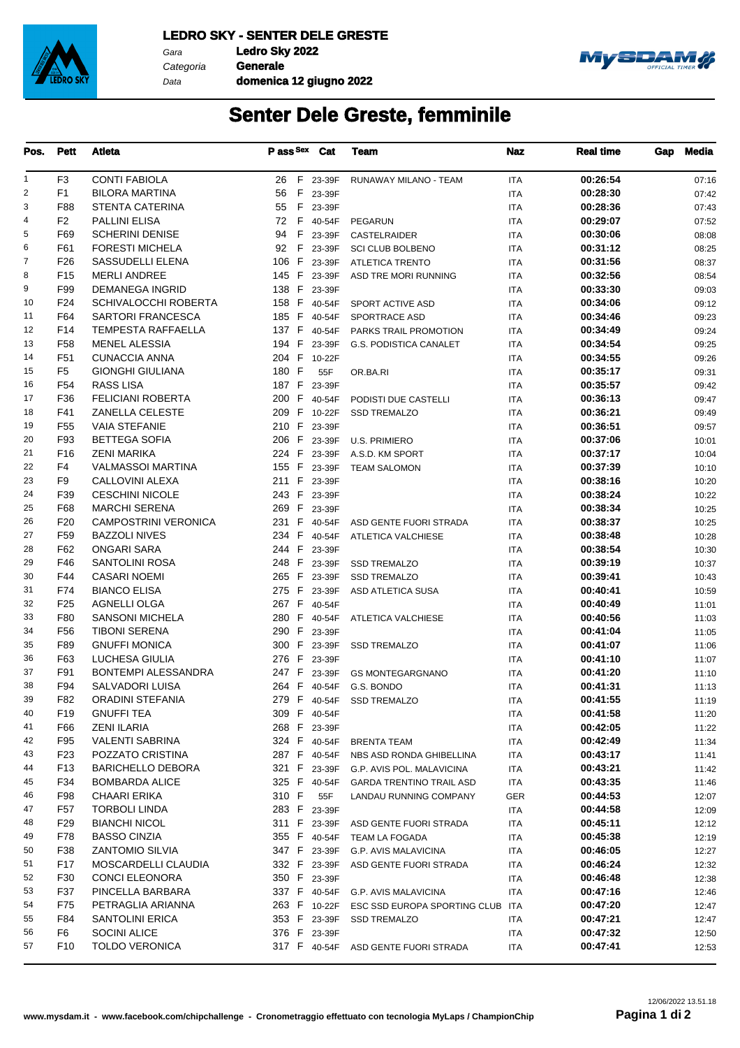

Gara **Ledro Sky 2022** Categoria **Generale**

Data

**domenica 12 giugno 2022**



## **Senter Dele Greste, femminile**

| Pos.           | <b>Pett</b>     | <b>Atleta</b>               | P ass Sex      | Cat          | <b>Team</b>                            | <b>Naz</b> | <b>Real time</b> | Gap | Media |
|----------------|-----------------|-----------------------------|----------------|--------------|----------------------------------------|------------|------------------|-----|-------|
| $\mathbf{1}$   | F3              | <b>CONTI FABIOLA</b>        |                | 26 F 23-39F  | RUNAWAY MILANO - TEAM                  | <b>ITA</b> | 00:26:54         |     | 07:16 |
| $\overline{c}$ | F <sub>1</sub>  | <b>BILORA MARTINA</b>       | 56             | F 23-39F     |                                        | <b>ITA</b> | 00:28:30         |     | 07:42 |
| 3              | F88             | <b>STENTA CATERINA</b>      | 55             | F 23-39F     |                                        | <b>ITA</b> | 00:28:36         |     | 07:43 |
| 4              | F <sub>2</sub>  | <b>PALLINI ELISA</b>        |                | 72 F 40-54F  | <b>PEGARUN</b>                         | <b>ITA</b> | 00:29:07         |     | 07:52 |
| 5              | F69             | <b>SCHERINI DENISE</b>      |                | 94 F 23-39F  | CASTELRAIDER                           | <b>ITA</b> | 00:30:06         |     | 08:08 |
| 6              | F61             | <b>FORESTI MICHELA</b>      | 92 F           | 23-39F       | <b>SCI CLUB BOLBENO</b>                | <b>ITA</b> | 00:31:12         |     | 08:25 |
| $\overline{7}$ | F <sub>26</sub> | SASSUDELLI ELENA            | 106 F          | 23-39F       | <b>ATLETICA TRENTO</b>                 | <b>ITA</b> | 00:31:56         |     | 08:37 |
| 8              | F <sub>15</sub> | <b>MERLI ANDREE</b>         | 145 F          | 23-39F       | ASD TRE MORI RUNNING                   | <b>ITA</b> | 00:32:56         |     | 08:54 |
| 9              | F99             | <b>DEMANEGA INGRID</b>      | 138 F          | 23-39F       |                                        | <b>ITA</b> | 00:33:30         |     | 09:03 |
| 10             | F <sub>24</sub> | SCHIVALOCCHI ROBERTA        | 158 F 40-54F   |              | SPORT ACTIVE ASD                       | <b>ITA</b> | 00:34:06         |     | 09:12 |
| 11             | F64             | <b>SARTORI FRANCESCA</b>    | 185 F 40-54F   |              | SPORTRACE ASD                          | <b>ITA</b> | 00:34:46         |     | 09:23 |
| 12             | F <sub>14</sub> | <b>TEMPESTA RAFFAELLA</b>   | 137 F 40-54F   |              | PARKS TRAIL PROMOTION                  | <b>ITA</b> | 00:34:49         |     | 09:24 |
| 13             | F <sub>58</sub> | <b>MENEL ALESSIA</b>        | 194 F 23-39F   |              | G.S. PODISTICA CANALET                 | <b>ITA</b> | 00:34:54         |     | 09:25 |
| 14             | F51             | <b>CUNACCIA ANNA</b>        | 204 F 10-22F   |              |                                        | <b>ITA</b> | 00:34:55         |     | 09:26 |
| 15             | F5              | <b>GIONGHI GIULIANA</b>     | 180 F          | 55F          | OR.BA.RI                               | <b>ITA</b> | 00:35:17         |     | 09:31 |
| 16             | F54             | <b>RASS LISA</b>            | 187 F          | 23-39F       |                                        | <b>ITA</b> | 00:35:57         |     | 09:42 |
| 17             | F36             | <b>FELICIANI ROBERTA</b>    | 200 F 40-54F   |              | PODISTI DUE CASTELLI                   | <b>ITA</b> | 00:36:13         |     | 09:47 |
| 18             | F41             | <b>ZANELLA CELESTE</b>      | 209 F 10-22F   |              | <b>SSD TREMALZO</b>                    | <b>ITA</b> | 00:36:21         |     | 09:49 |
| 19             | F <sub>55</sub> | <b>VAIA STEFANIE</b>        | 210 F          | 23-39F       |                                        | <b>ITA</b> | 00:36:51         |     | 09:57 |
| 20             | F93             | <b>BETTEGA SOFIA</b>        | 206 F 23-39F   |              | <b>U.S. PRIMIERO</b>                   | <b>ITA</b> | 00:37:06         |     | 10:01 |
| 21             | F <sub>16</sub> | <b>ZENI MARIKA</b>          | 224 F 23-39F   |              | A.S.D. KM SPORT                        | <b>ITA</b> | 00:37:17         |     | 10:04 |
| 22             | F4              | <b>VALMASSOI MARTINA</b>    | 155 F          | 23-39F       | <b>TEAM SALOMON</b>                    | <b>ITA</b> | 00:37:39         |     | 10:10 |
| 23             | F9              | CALLOVINI ALEXA             | 211 F 23-39F   |              |                                        | <b>ITA</b> | 00:38:16         |     | 10:20 |
| 24             | F39             | <b>CESCHINI NICOLE</b>      | 243 F 23-39F   |              |                                        | <b>ITA</b> | 00:38:24         |     | 10:22 |
| 25             | F68             | <b>MARCHI SERENA</b>        | 269 F 23-39F   |              |                                        | <b>ITA</b> | 00:38:34         |     | 10:25 |
| 26             | F <sub>20</sub> | <b>CAMPOSTRINI VERONICA</b> | 231 F 40-54F   |              | ASD GENTE FUORI STRADA                 | ITA        | 00:38:37         |     | 10:25 |
| 27             | F <sub>59</sub> | <b>BAZZOLI NIVES</b>        | 234 F 40-54F   |              |                                        |            | 00:38:48         |     |       |
| 28             | F62             | <b>ONGARI SARA</b>          | 244 F          |              | ATLETICA VALCHIESE                     | ITA        | 00:38:54         |     | 10:28 |
| 29             | F46             | SANTOLINI ROSA              | 248 F 23-39F   | 23-39F       |                                        | <b>ITA</b> | 00:39:19         |     | 10:30 |
|                |                 |                             |                |              | <b>SSD TREMALZO</b>                    | <b>ITA</b> |                  |     | 10:37 |
| 30             | F44             | <b>CASARI NOEMI</b>         | 265 F 23-39F   |              | <b>SSD TREMALZO</b>                    | <b>ITA</b> | 00:39:41         |     | 10:43 |
| 31             | F74             | <b>BIANCO ELISA</b>         | 275 F<br>267 F | 23-39F       | ASD ATLETICA SUSA                      | <b>ITA</b> | 00:40:41         |     | 10:59 |
| 32             | F <sub>25</sub> | AGNELLI OLGA                |                | 40-54F       |                                        | <b>ITA</b> | 00:40:49         |     | 11:01 |
| 33             | F80             | <b>SANSONI MICHELA</b>      |                | 280 F 40-54F | ATLETICA VALCHIESE                     | <b>ITA</b> | 00:40:56         |     | 11:03 |
| 34             | F <sub>56</sub> | <b>TIBONI SERENA</b>        | 290 F          | 23-39F       |                                        | <b>ITA</b> | 00:41:04         |     | 11:05 |
| 35             | F89             | <b>GNUFFI MONICA</b>        |                | 300 F 23-39F | <b>SSD TREMALZO</b>                    | <b>ITA</b> | 00:41:07         |     | 11:06 |
| 36             | F63             | LUCHESA GIULIA              | 276 F 23-39F   |              |                                        | <b>ITA</b> | 00:41:10         |     | 11:07 |
| 37             | F91             | BONTEMPI ALESSANDRA         |                |              | 247 F 23-39F GS MONTEGARGNANO          | <b>ITA</b> | 00:41:20         |     | 11:10 |
| 38             | F94             | SALVADORI LUISA             | 264 F 40-54F   |              | G.S. BONDO                             | <b>ITA</b> | 00:41:31         |     | 11:13 |
| 39             | F82             | ORADINI STEFANIA            |                |              | 279 F 40-54F SSD TREMALZO              | <b>ITA</b> | 00:41:55         |     | 11:19 |
| 40             | F19             | <b>GNUFFI TEA</b>           | 309 F 40-54F   |              |                                        | ITA        | 00:41:58         |     | 11:20 |
| 41             | F66             | ZENI ILARIA                 | 268 F 23-39F   |              |                                        | ITA        | 00:42:05         |     | 11:22 |
| 42             | F95             | <b>VALENTI SABRINA</b>      |                | 324 F 40-54F | <b>BRENTA TEAM</b>                     | ITA        | 00:42:49         |     | 11:34 |
| 43             | F <sub>23</sub> | POZZATO CRISTINA            | 287 F 40-54F   |              | NBS ASD RONDA GHIBELLINA               | ITA        | 00:43:17         |     | 11:41 |
| 44             | F <sub>13</sub> | <b>BARICHELLO DEBORA</b>    |                |              | 321 F 23-39F G.P. AVIS POL. MALAVICINA | ITA        | 00:43:21         |     | 11:42 |
| 45             | F34             | <b>BOMBARDA ALICE</b>       |                |              | 325 F 40-54F GARDA TRENTINO TRAIL ASD  | ITA        | 00:43:35         |     | 11:46 |
| 46             | F98             | CHAARI ERIKA                | 310 F          | 55F          | LANDAU RUNNING COMPANY                 | GER        | 00:44:53         |     | 12:07 |
| 47             | F57             | TORBOLI LINDA               | 283 F 23-39F   |              |                                        | ITA        | 00:44:58         |     | 12:09 |
| 48             | F <sub>29</sub> | <b>BIANCHI NICOL</b>        |                |              | 311 F 23-39F ASD GENTE FUORI STRADA    | ITA        | 00:45:11         |     | 12:12 |
| 49             | F78             | <b>BASSO CINZIA</b>         |                | 355 F 40-54F | TEAM LA FOGADA                         | ITA        | 00:45:38         |     | 12:19 |
| 50             | F38             | <b>ZANTOMIO SILVIA</b>      |                |              | 347 F 23-39F G.P. AVIS MALAVICINA      | ITA        | 00:46:05         |     | 12:27 |
| 51             | F17             | MOSCARDELLI CLAUDIA         |                |              | 332 F 23-39F ASD GENTE FUORI STRADA    | ITA        | 00:46:24         |     | 12:32 |
| 52             | F30             | <b>CONCI ELEONORA</b>       | 350 F 23-39F   |              |                                        | ITA        | 00:46:48         |     | 12:38 |
| 53             | F37             | PINCELLA BARBARA            |                | 337 F 40-54F | G.P. AVIS MALAVICINA                   | ITA        | 00:47:16         |     | 12:46 |
| 54             | F75             | PETRAGLIA ARIANNA           |                | 263 F 10-22F | ESC SSD EUROPA SPORTING CLUB ITA       |            | 00:47:20         |     | 12:47 |
| 55             | F84             | <b>SANTOLINI ERICA</b>      |                | 353 F 23-39F | <b>SSD TREMALZO</b>                    | ITA        | 00:47:21         |     | 12:47 |
| 56             | F6              | <b>SOCINI ALICE</b>         | 376 F 23-39F   |              |                                        | ITA        | 00:47:32         |     | 12:50 |
| 57             | F <sub>10</sub> | <b>TOLDO VERONICA</b>       |                |              | 317 F 40-54F ASD GENTE FUORI STRADA    | ITA        | 00:47:41         |     | 12:53 |